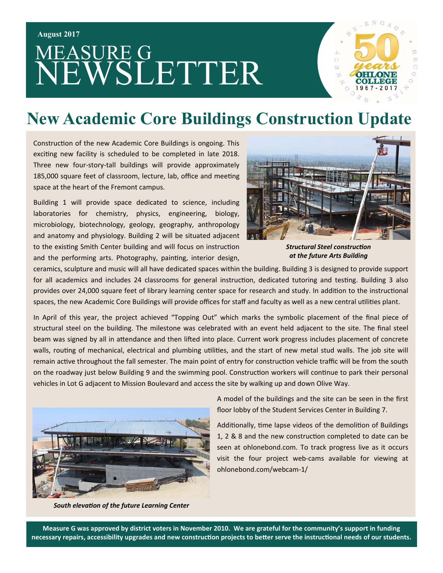# MEASURE G NEWSLETTER



#### **New Academic Core Buildings Construction Update**

Construction of the new Academic Core Buildings is ongoing. This exciting new facility is scheduled to be completed in late 2018. Three new four-story-tall buildings will provide approximately 185,000 square feet of classroom, lecture, lab, office and meeting space at the heart of the Fremont campus.

Building 1 will provide space dedicated to science, including laboratories for chemistry, physics, engineering, biology, microbiology, biotechnology, geology, geography, anthropology and anatomy and physiology. Building 2 will be situated adjacent to the existing Smith Center building and will focus on instruction and the performing arts. Photography, painting, interior design,



**Structural Steel construction** *at the future Arts Building* 

ceramics, sculpture and music will all have dedicated spaces within the building. Building 3 is designed to provide support for all academics and includes 24 classrooms for general instruction, dedicated tutoring and testing. Building 3 also provides over 24,000 square feet of library learning center space for research and study. In addition to the instructional spaces, the new Academic Core Buildings will provide offices for staff and faculty as well as a new central utilities plant.

In April of this year, the project achieved "Topping Out" which marks the symbolic placement of the final piece of structural steel on the building. The milestone was celebrated with an event held adjacent to the site. The final steel beam was signed by all in attendance and then lifted into place. Current work progress includes placement of concrete walls, routing of mechanical, electrical and plumbing utilities, and the start of new metal stud walls. The job site will remain active throughout the fall semester. The main point of entry for construction vehicle traffic will be from the south on the roadway just below Building 9 and the swimming pool. Construction workers will continue to park their personal vehicles in Lot G adjacent to Mission Boulevard and access the site by walking up and down Olive Way.



A model of the buildings and the site can be seen in the first floor lobby of the Student Services Center in Building 7.

Additionally, time lapse videos of the demolition of Buildings 1, 2 & 8 and the new construction completed to date can be seen at ohlonebond.com. To track progress live as it occurs visit the four project web‐cams available for viewing at ohlonebond.com/webcam‐1/

*South elevaƟon of the future Learning Center* 

**Measure G was approved by district voters in November 2010. We are grateful for the community's support in funding**  necessary repairs, accessibility upgrades and new construction projects to better serve the instructional needs of our students.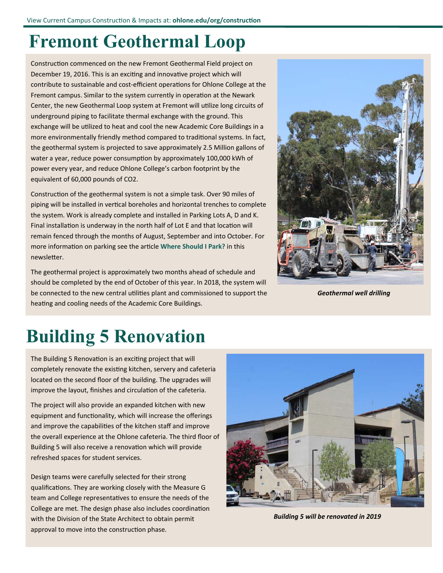#### **Fremont Geothermal Loop**

Construction commenced on the new Fremont Geothermal Field project on December 19, 2016. This is an exciting and innovative project which will contribute to sustainable and cost-efficient operations for Ohlone College at the Fremont campus. Similar to the system currently in operation at the Newark Center, the new Geothermal Loop system at Fremont will utilize long circuits of underground piping to facilitate thermal exchange with the ground. This exchange will be utilized to heat and cool the new Academic Core Buildings in a more environmentally friendly method compared to traditional systems. In fact, the geothermal system is projected to save approximately 2.5 Million gallons of water a year, reduce power consumption by approximately 100,000 kWh of power every year, and reduce Ohlone College's carbon footprint by the equivalent of 60,000 pounds of CO2.

Construction of the geothermal system is not a simple task. Over 90 miles of piping will be installed in vertical boreholes and horizontal trenches to complete the system. Work is already complete and installed in Parking Lots A, D and K. Final installation is underway in the north half of Lot E and that location will remain fenced through the months of August, September and into October. For more information on parking see the article Where Should I Park? in this newsletter.

The geothermal project is approximately two months ahead of schedule and should be completed by the end of October of this year. In 2018, the system will be connected to the new central utilities plant and commissioned to support the heating and cooling needs of the Academic Core Buildings.



*Geothermal well drilling* 

# **Building 5 Renovation**

The Building 5 Renovation is an exciting project that will completely renovate the existing kitchen, servery and cafeteria located on the second floor of the building. The upgrades will improve the layout, finishes and circulation of the cafeteria.

The project will also provide an expanded kitchen with new equipment and functionality, which will increase the offerings and improve the capabilities of the kitchen staff and improve the overall experience at the Ohlone cafeteria. The third floor of Building 5 will also receive a renovation which will provide refreshed spaces for student services.

Design teams were carefully selected for their strong qualifications. They are working closely with the Measure G team and College representatives to ensure the needs of the College are met. The design phase also includes coordination with the Division of the State Architect to obtain permit approval to move into the construction phase.



*Building 5 will be renovated in 2019*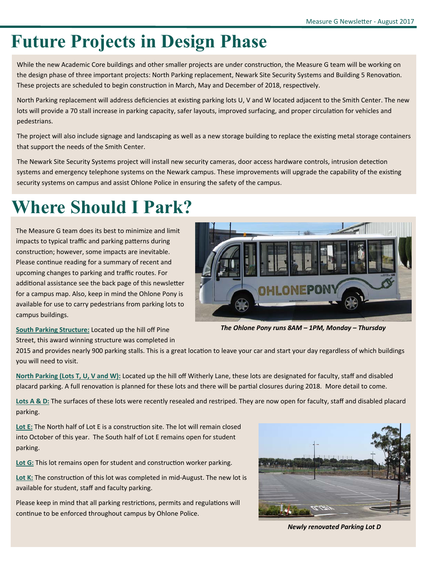## **Future Projects in Design Phase**

While the new Academic Core buildings and other smaller projects are under construction, the Measure G team will be working on the design phase of three important projects: North Parking replacement, Newark Site Security Systems and Building 5 Renovation. These projects are scheduled to begin construction in March, May and December of 2018, respectively.

North Parking replacement will address deficiencies at existing parking lots U, V and W located adjacent to the Smith Center. The new lots will provide a 70 stall increase in parking capacity, safer layouts, improved surfacing, and proper circulation for vehicles and pedestrians.

The project will also include signage and landscaping as well as a new storage building to replace the existing metal storage containers that support the needs of the Smith Center.

The Newark Site Security Systems project will install new security cameras, door access hardware controls, intrusion detection systems and emergency telephone systems on the Newark campus. These improvements will upgrade the capability of the existing security systems on campus and assist Ohlone Police in ensuring the safety of the campus.

## **Where Should I Park?**

The Measure G team does its best to minimize and limit impacts to typical traffic and parking patterns during construction; however, some impacts are inevitable. Please continue reading for a summary of recent and upcoming changes to parking and traffic routes. For additional assistance see the back page of this newsletter for a campus map. Also, keep in mind the Ohlone Pony is available for use to carry pedestrians from parking lots to campus buildings.



*The Ohlone Pony runs 8AM – 1PM, Monday – Thursday* 

**South Parking Structure:** Located up the hill off Pine Street, this award winning structure was completed in

2015 and provides nearly 900 parking stalls. This is a great location to leave your car and start your day regardless of which buildings you will need to visit.

**North Parking (Lots T, U, V and W):** Located up the hill off Witherly Lane, these lots are designated for faculty, staff and disabled placard parking. A full renovation is planned for these lots and there will be partial closures during 2018. More detail to come.

**Lots A & D:** The surfaces of these lots were recently resealed and restriped. They are now open for faculty, staff and disabled placard parking.

Lot E: The North half of Lot E is a construction site. The lot will remain closed into October of this year. The South half of Lot E remains open for student parking.

Lot G: This lot remains open for student and construction worker parking.

Lot K: The construction of this lot was completed in mid-August. The new lot is available for student, staff and faculty parking.

Please keep in mind that all parking restrictions, permits and regulations will continue to be enforced throughout campus by Ohlone Police.



*Newly renovated Parking Lot D*